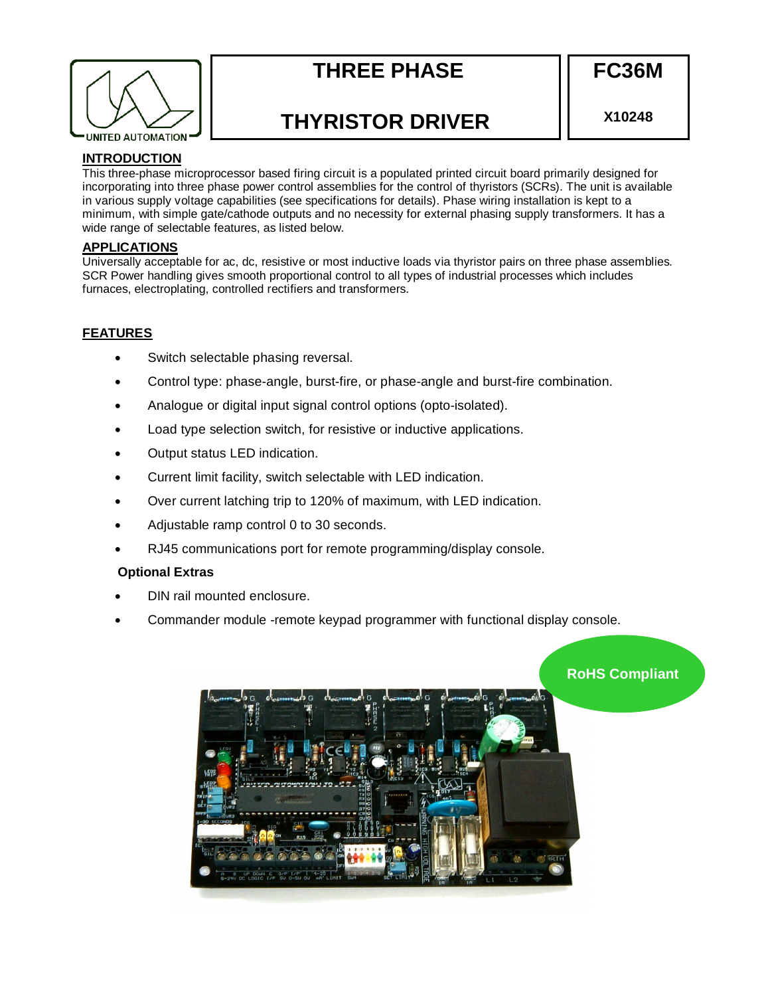

# **THREE PHASE**

**FC36M** 

# **THYRISTOR DRIVER**

**X10248** 

# **INTRODUCTION**

This three-phase microprocessor based firing circuit is a populated printed circuit board primarily designed for incorporating into three phase power control assemblies for the control of thyristors (SCRs). The unit is available in various supply voltage capabilities (see specifications for details). Phase wiring installation is kept to a minimum, with simple gate/cathode outputs and no necessity for external phasing supply transformers. It has a wide range of selectable features, as listed below.

# **APPLICATIONS**

Universally acceptable for ac, dc, resistive or most inductive loads via thyristor pairs on three phase assemblies. SCR Power handling gives smooth proportional control to all types of industrial processes which includes furnaces, electroplating, controlled rectifiers and transformers.

# **FEATURES**

- Switch selectable phasing reversal.
- Control type: phase-angle, burst-fire, or phase-angle and burst-fire combination.
- Analogue or digital input signal control options (opto-isolated).
- Load type selection switch, for resistive or inductive applications.
- Output status LED indication.
- Current limit facility, switch selectable with LED indication.
- Over current latching trip to 120% of maximum, with LED indication.
- Adjustable ramp control 0 to 30 seconds.
- RJ45 communications port for remote programming/display console.

# **Optional Extras**

- DIN rail mounted enclosure.
- Commander module -remote keypad programmer with functional display console.